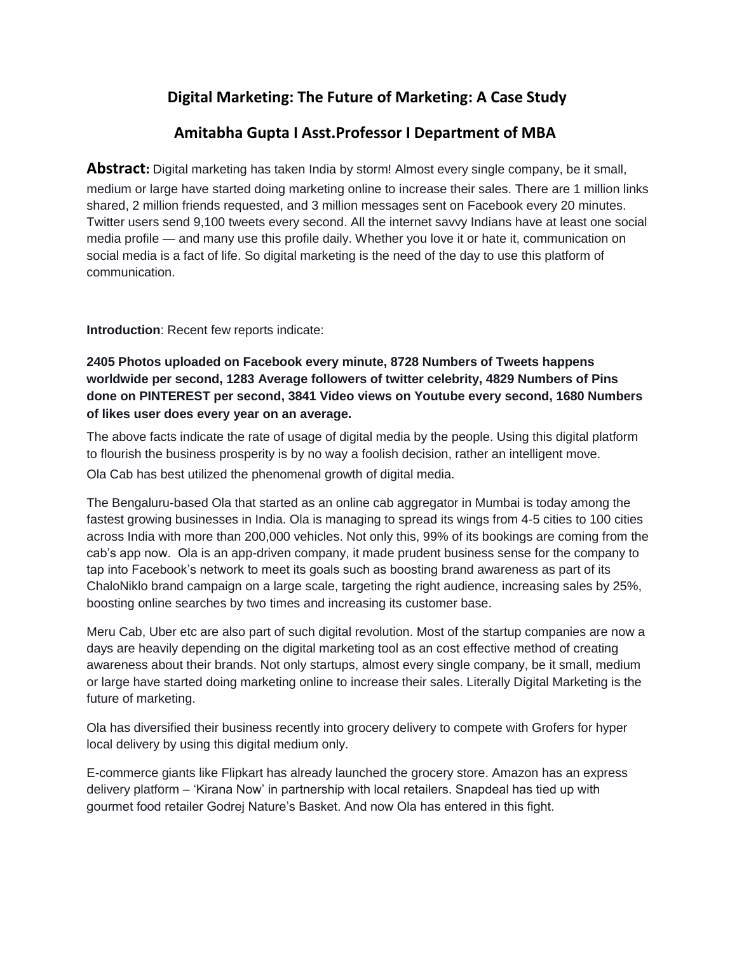# **Digital Marketing: The Future of Marketing: A Case Study**

# **Amitabha Gupta I Asst.Professor I Department of MBA**

**Abstract:** Digital marketing has taken India by storm! Almost every single company, be it small, medium or large have started doing marketing online to increase their sales. There are 1 million links shared, 2 million friends requested, and 3 million messages sent on Facebook every 20 minutes. Twitter users send 9,100 tweets every second. All the internet savvy Indians have at least one social media profile — and many use this profile daily. Whether you love it or hate it, communication on social media is a fact of life. So digital marketing is the need of the day to use this platform of communication.

**Introduction**: Recent few reports indicate:

**2405 Photos uploaded on Facebook every minute, 8728 Numbers of Tweets happens worldwide per second, 1283 Average followers of twitter celebrity, 4829 Numbers of Pins done on PINTEREST per second, 3841 Video views on Youtube every second, 1680 Numbers of likes user does every year on an average.** 

The above facts indicate the rate of usage of digital media by the people. Using this digital platform to flourish the business prosperity is by no way a foolish decision, rather an intelligent move. Ola Cab has best utilized the phenomenal growth of digital media.

The Bengaluru-based Ola that started as an online cab aggregator in Mumbai is today among the fastest growing businesses in India. Ola is managing to spread its wings from 4-5 cities to 100 cities across India with more than 200,000 vehicles. Not only this, 99% of its bookings are coming from the cab's app now. Ola is an app-driven company, it made prudent business sense for the company to tap into Facebook's network to meet its goals such as boosting brand awareness as part of its ChaloNiklo brand campaign on a large scale, targeting the right audience, increasing sales by 25%, boosting online searches by two times and increasing its customer base.

Meru Cab, Uber etc are also part of such digital revolution. Most of the startup companies are now a days are heavily depending on the digital marketing tool as an cost effective method of creating awareness about their brands. Not only startups, almost every single company, be it small, medium or large have started doing marketing online to increase their sales. Literally Digital Marketing is the future of marketing.

Ola has diversified their business recently into grocery delivery to compete with Grofers for hyper local delivery by using this digital medium only.

E-commerce giants like Flipkart has already launched the grocery store. Amazon has an express delivery platform – ‗Kirana Now' in partnership with local retailers. Snapdeal has tied up with gourmet food retailer Godrej Nature's Basket. And now Ola has entered in this fight.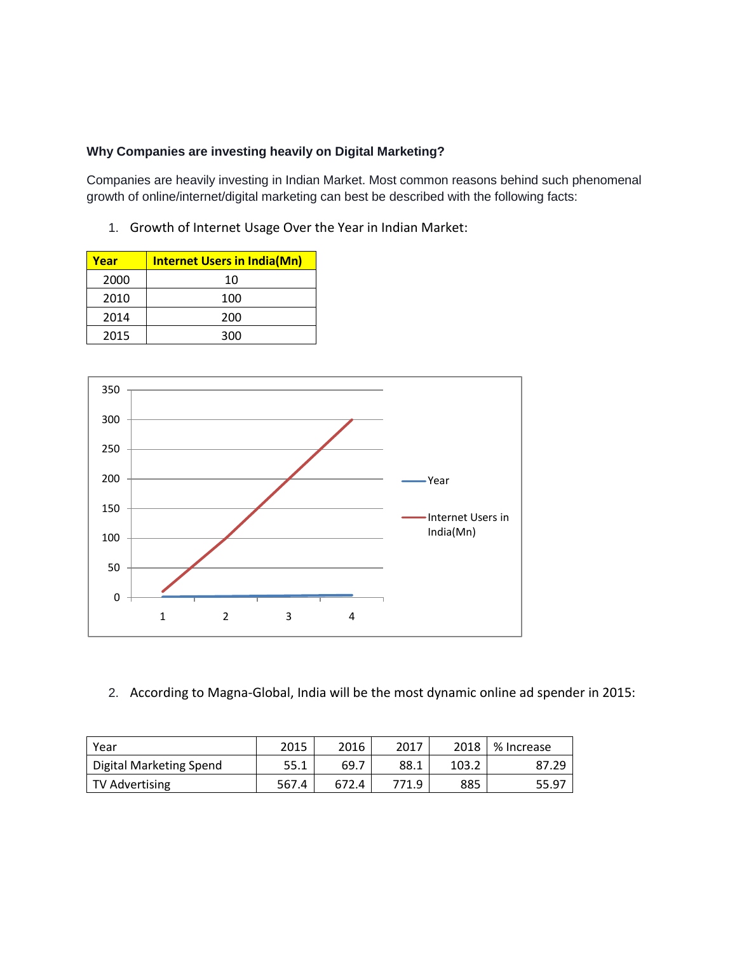### **Why Companies are investing heavily on Digital Marketing?**

Companies are heavily investing in Indian Market. Most common reasons behind such phenomenal growth of online/internet/digital marketing can best be described with the following facts:

1. Growth of Internet Usage Over the Year in Indian Market:

| Year | <b>Internet Users in India(Mn)</b> |
|------|------------------------------------|
| 2000 | 10                                 |
| 2010 | 100                                |
| 2014 | 200                                |
| 2015 | 300                                |



2. According to Magna-Global, India will be the most dynamic online ad spender in 2015:

| Year                           | 2015  | 2016  | 2017  | 2018  | % Increase |
|--------------------------------|-------|-------|-------|-------|------------|
| <b>Digital Marketing Spend</b> | 55.1  | 69.7  | 88.1  | 103.2 | 87.29      |
| TV Advertising                 | 567.4 | 672.4 | 771.9 | 885   | 55.97      |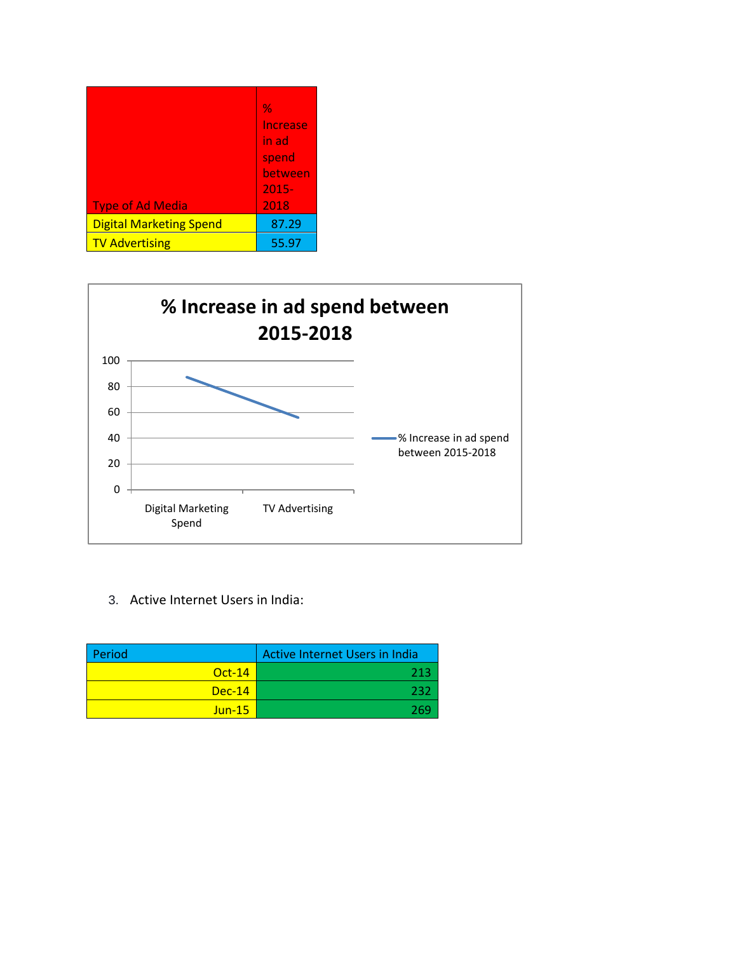|                                | $\frac{9}{6}$ |
|--------------------------------|---------------|
|                                | Increase      |
|                                | in ad         |
|                                | spend         |
|                                | between       |
|                                | $2015 -$      |
| <b>Type of Ad Media</b>        | 2018          |
| <b>Digital Marketing Spend</b> | 87.29         |
| <b>TV Advertising</b>          | 55.97         |



3. Active Internet Users in India:

| Period   | Active Internet Users in India |
|----------|--------------------------------|
| $Oct-14$ | 213                            |
| $Dec-14$ | 232                            |
| $Jun-15$ |                                |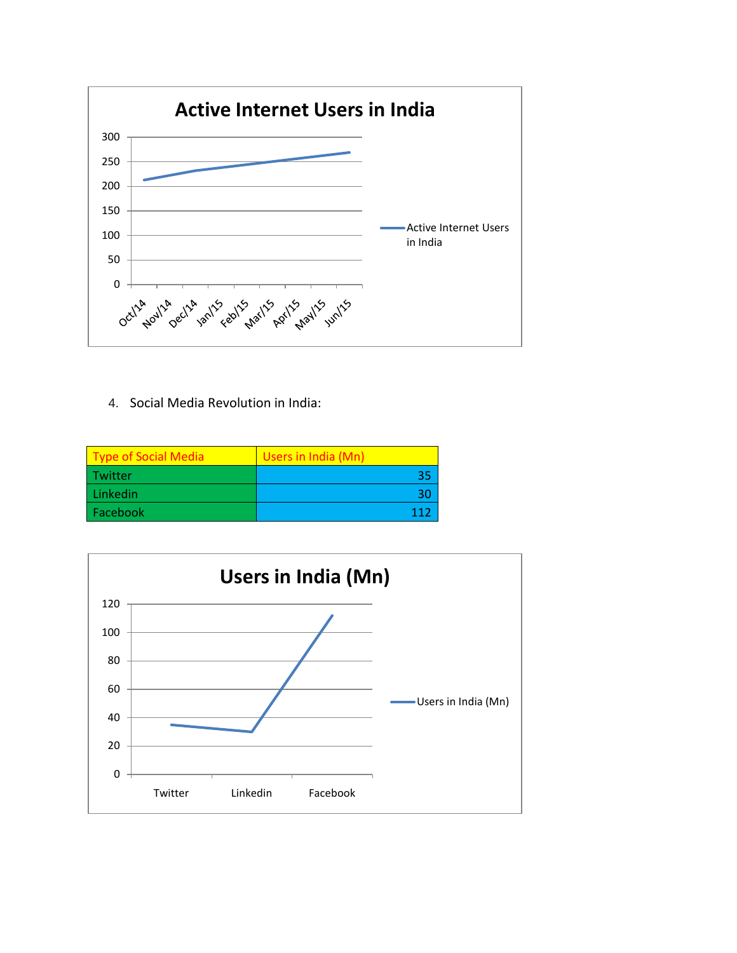

4. Social Media Revolution in India:

| Type of Social Media | Users in India (Mn) |
|----------------------|---------------------|
| Twitter              | 35                  |
| Linkedin             |                     |
| Facebook             | 111                 |

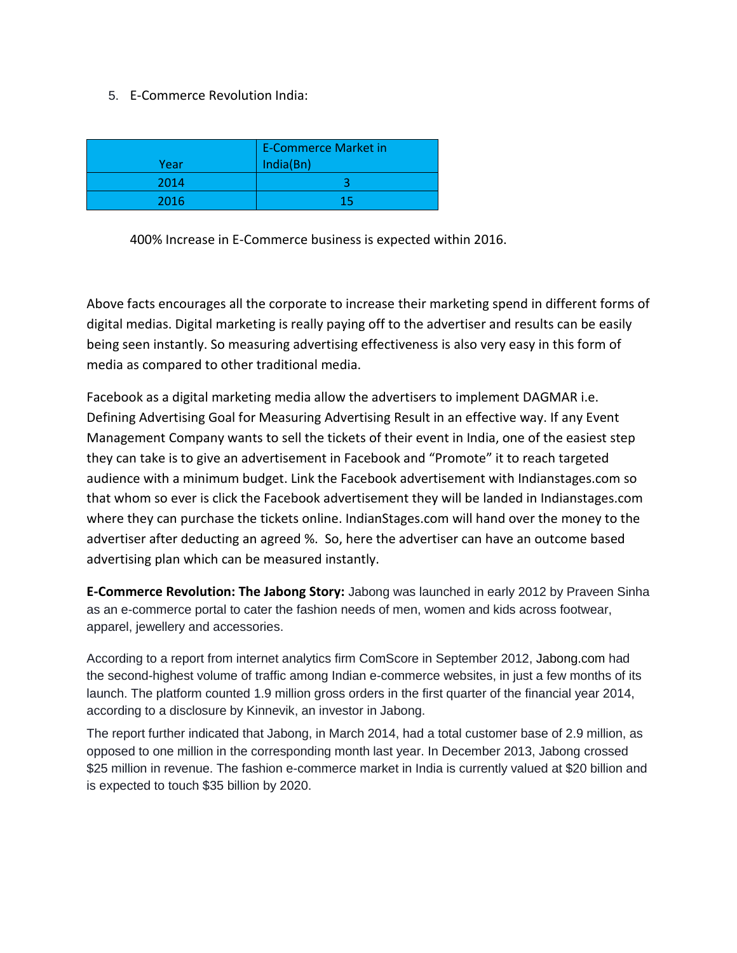## 5. E-Commerce Revolution India:

| Year | <b>E-Commerce Market in</b><br>India(Bn) |
|------|------------------------------------------|
| 2014 |                                          |
| 2016 | 15                                       |

400% Increase in E-Commerce business is expected within 2016.

Above facts encourages all the corporate to increase their marketing spend in different forms of digital medias. Digital marketing is really paying off to the advertiser and results can be easily being seen instantly. So measuring advertising effectiveness is also very easy in this form of media as compared to other traditional media.

Facebook as a digital marketing media allow the advertisers to implement DAGMAR i.e. Defining Advertising Goal for Measuring Advertising Result in an effective way. If any Event Management Company wants to sell the tickets of their event in India, one of the easiest step they can take is to give an advertisement in Facebook and "Promote" it to reach targeted audience with a minimum budget. Link the Facebook advertisement with Indianstages.com so that whom so ever is click the Facebook advertisement they will be landed in Indianstages.com where they can purchase the tickets online. IndianStages.com will hand over the money to the advertiser after deducting an agreed %. So, here the advertiser can have an outcome based advertising plan which can be measured instantly.

**E-Commerce Revolution: The Jabong Story:** Jabong was launched in early 2012 by Praveen Sinha as an e-commerce portal to cater the fashion needs of men, women and kids across footwear, apparel, jewellery and accessories.

According to a report from internet analytics firm ComScore in September 2012, Jabong.com had the second-highest volume of traffic among Indian e-commerce websites, in just a few months of its launch. The platform counted 1.9 million gross orders in the first quarter of the financial year 2014, according to a disclosure by Kinnevik, an investor in Jabong.

The report further indicated that Jabong, in March 2014, had a total customer base of 2.9 million, as opposed to one million in the corresponding month last year. In December 2013, Jabong crossed \$25 million in revenue. The fashion e-commerce market in India is currently valued at \$20 billion and is expected to touch \$35 billion by 2020.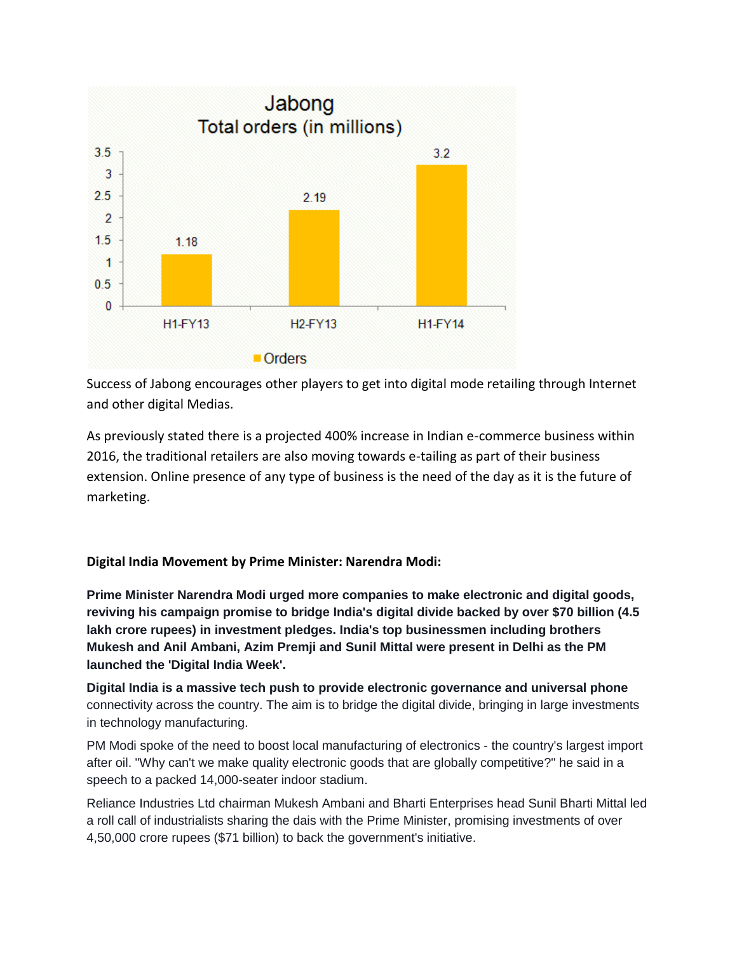

Success of Jabong encourages other players to get into digital mode retailing through Internet and other digital Medias.

As previously stated there is a projected 400% increase in Indian e-commerce business within 2016, the traditional retailers are also moving towards e-tailing as part of their business extension. Online presence of any type of business is the need of the day as it is the future of marketing.

## **Digital India Movement by Prime Minister: Narendra Modi:**

**Prime Minister Narendra Modi urged more companies to make electronic and digital goods, reviving his campaign promise to bridge India's digital divide backed by over \$70 billion (4.5 lakh crore rupees) in investment pledges. India's top businessmen including brothers Mukesh and Anil Ambani, Azim Premji and Sunil Mittal were present in Delhi as the PM launched the 'Digital India Week'.**

**Digital India is a massive tech push to provide electronic governance and universal phone** connectivity across the country. The aim is to bridge the digital divide, bringing in large investments in technology manufacturing.

PM Modi spoke of the need to boost local manufacturing of electronics - the country's largest import after oil. "Why can't we make quality electronic goods that are globally competitive?" he said in a speech to a packed 14,000-seater indoor stadium.

Reliance Industries Ltd chairman Mukesh Ambani and Bharti Enterprises head Sunil Bharti Mittal led a roll call of industrialists sharing the dais with the Prime Minister, promising investments of over 4,50,000 crore rupees (\$71 billion) to back the government's initiative.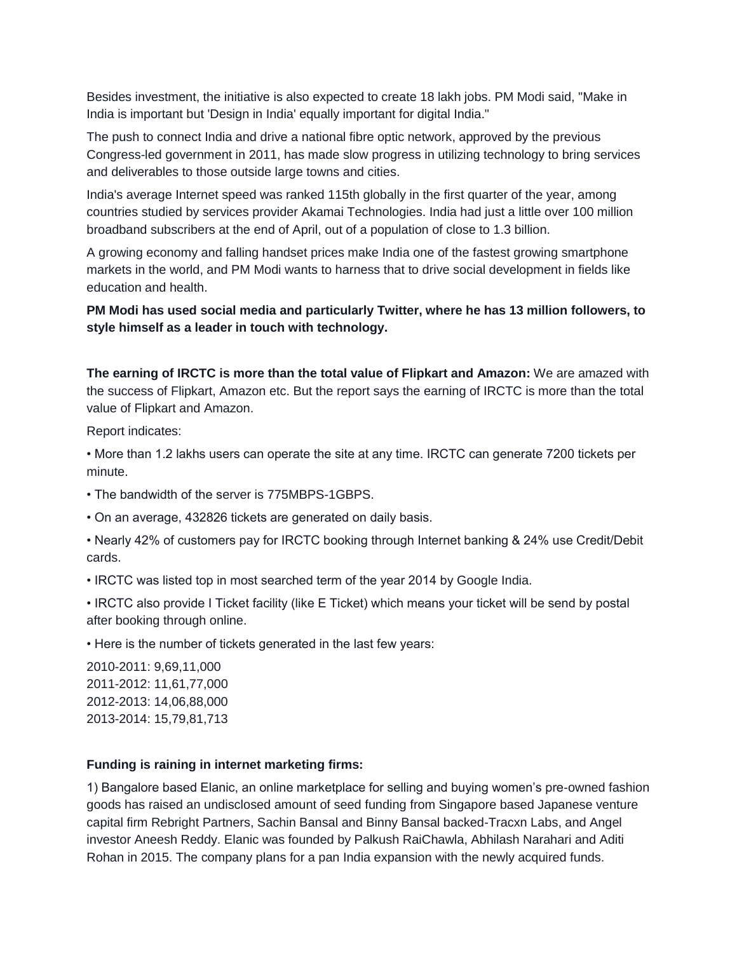Besides investment, the initiative is also expected to create 18 lakh jobs. PM Modi said, "Make in India is important but 'Design in India' equally important for digital India."

The push to connect India and drive a national fibre optic network, approved by the previous Congress-led government in 2011, has made slow progress in utilizing technology to bring services and deliverables to those outside large towns and cities.

India's average Internet speed was ranked 115th globally in the first quarter of the year, among countries studied by services provider Akamai Technologies. India had just a little over 100 million broadband subscribers at the end of April, out of a population of close to 1.3 billion.

A growing economy and falling handset prices make India one of the fastest growing smartphone markets in the world, and PM Modi wants to harness that to drive social development in fields like education and health.

**PM Modi has used social media and particularly Twitter, where he has 13 million followers, to style himself as a leader in touch with technology.**

**The earning of IRCTC is more than the total value of Flipkart and Amazon:** We are amazed with the success of Flipkart, Amazon etc. But the report says the earning of IRCTC is more than the total value of Flipkart and Amazon.

Report indicates:

• More than 1.2 lakhs users can operate the site at any time. IRCTC can generate 7200 tickets per minute.

- The bandwidth of the server is 775MBPS-1GBPS.
- On an average, 432826 tickets are generated on daily basis.
- Nearly 42% of customers pay for IRCTC booking through Internet banking & 24% use Credit/Debit cards.
- IRCTC was listed top in most searched term of the year 2014 by Google India.
- IRCTC also provide I Ticket facility (like E Ticket) which means your ticket will be send by postal after booking through online.
- Here is the number of tickets generated in the last few years:

2010-2011: 9,69,11,000 2011-2012: 11,61,77,000 2012-2013: 14,06,88,000 2013-2014: 15,79,81,713

#### **Funding is raining in internet marketing firms:**

1) Bangalore based Elanic, an online marketplace for selling and buying women's pre-owned fashion goods has raised an undisclosed amount of seed funding from Singapore based Japanese venture capital firm Rebright Partners, Sachin Bansal and Binny Bansal backed-Tracxn Labs, and Angel investor Aneesh Reddy. Elanic was founded by Palkush RaiChawla, Abhilash Narahari and Aditi Rohan in 2015. The company plans for a pan India expansion with the newly acquired funds.